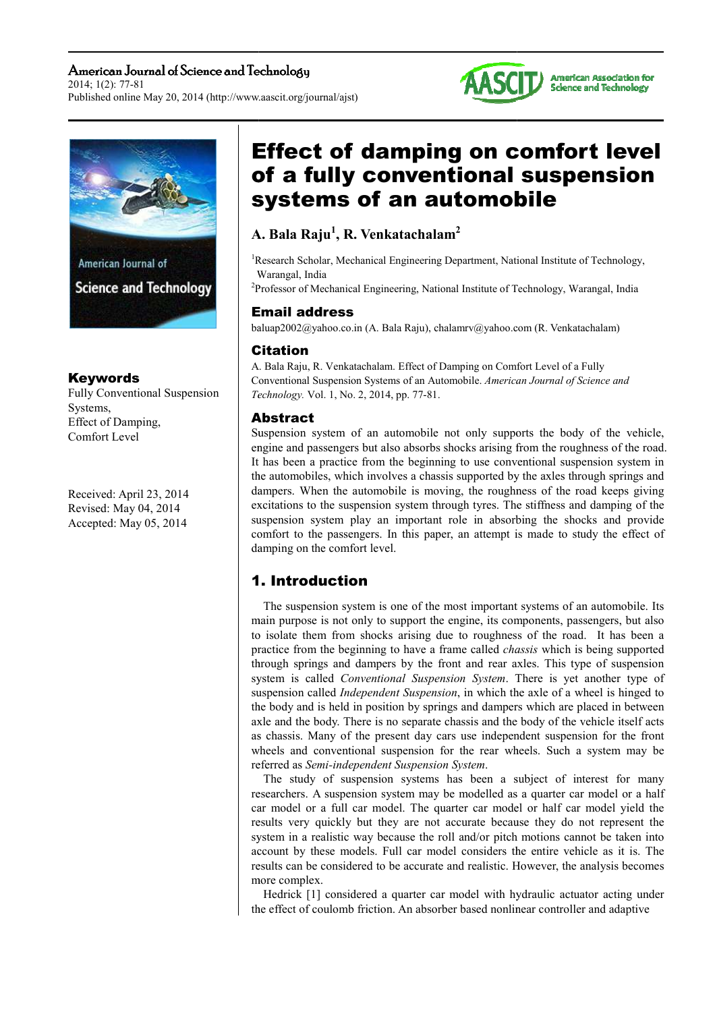#### American Journal of Science and Technology 2014; 1(2): 77-81 Published online May 20, 2014 (http://www.aascit.org/journal/ajst)



### Keywords

Fully Conventional Suspension Systems, Effect of Damping, Comfort Level

Received: April 23, 2014 Revised: May 04, 2014 Accepted: May 05, 2014

# Effect of damping on comfort level of a fully conventional suspension systems of an automobile

# **A. Bala Raju 1 , R. Venkatachalam<sup>2</sup>**

<sup>1</sup>Research Scholar, Mechanical Engineering Department, National Institute of Technology, Warangal, India

<sup>2</sup>Professor of Mechanical Engineering, National Institute of Technology, Warangal, India

# Email Email address

baluap2002@yahoo.co.in (A. Bala Raju), chalamrv@yahoo.com (R. Venkatachalam)

### **Citation**

A. Bala Raju Raju, R. Venkatachalam. Effect of Damping on Comfort Level of a Fully Conventional Suspensi Suspension Systems of an Automobile. *American Journal of Science and Technology Technology.* Vol. 1, No. 2, 2014, pp. 77-81.

# Abstract

Suspension system of an automobile not only supports the body of the vehicle, engine and passengers but also absorbs shocks arising from the roughness of the road. It has been a practice from the beginning to use conventional suspension system in the automobiles automobiles, which involves a chassis supported by the axles through springs and the automobiles, which involves a chassis supported by the axles through springs and dampers. When the automobile is moving, the roughness of the road keeps giving excitations to the suspension system through tyres. The stiffness and damping of the suspension system play an important role in absorbing the shocks and provide comfort to the passengers. In this paper, an attempt is made to study the effect of damping on the comfort level.

# 1. 1. Introduction

main purpose is not only to support the engine, its components, passengers, but also to isolate them from shocks arising due to roughness of the road. It has been a practice from the beginning to have a frame called *chassis* which is being supported through springs and dampers by the front and rear axles. This type of suspension system is called Conventional Suspension System. There is yet another type of suspension called *Independent Suspension*, in which the axle of a wheel is hinged to the body and is held in position by springs and dampers which are placed in between axle and the body. There is no separate chassis and the body of the vehicle itself acts as chassis. Many of the present day cars use independent suspension for the front wheels and conventional suspension for the rear wheels. Such a system may be referred as *Semi-independent Suspension System*. The suspension system is one of the most important systems of an automobile. Its

researchers. A suspension system may be modelled as a quarter car model or a half car model or a full car model. The quarter car model or half car model yield the results very quickly but they are not accurate because they do not represent the system in a realistic way because the roll and/or pitch motions cannot be taken into account by these models. Full car model considers the entire vehicle as it is. The results can be considered to be accurate and realistic. However, the analysis becomes more complex. The study of suspension systems has been a subject of interest for many of suspension systems has been a<br>A suspension system may be modelled a<br>a full car model. The quarter car mod<br>quickly but they are not accurate beca<br>ealistic way because the roll and/or pitc<br>nese models. Full car model cons

the effect of coulomb friction. An absorber based nonlinear controller and adaptive Hedrick [1] considered a quarter car model with hydraulic actuator acting under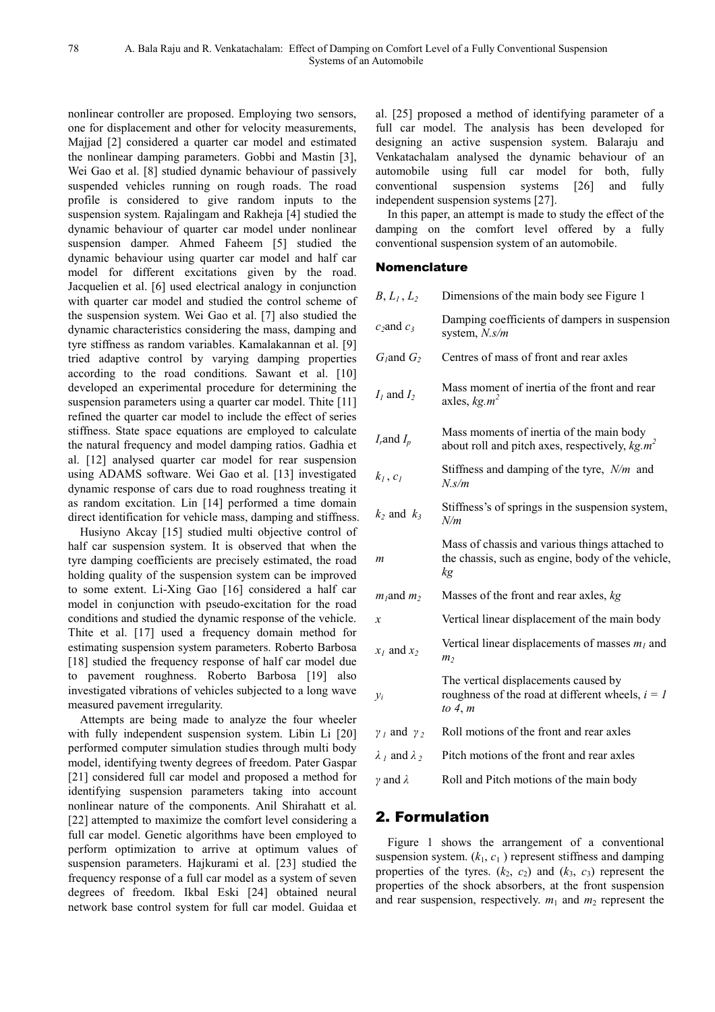nonlinear controller are proposed. Employing two sensors, one for displacement and other for velocity measurements, Majjad [2] considered a quarter car model and estimated the nonlinear damping parameters. Gobbi and Mastin [3], Wei Gao et al. [8] studied dynamic behaviour of passively suspended vehicles running on rough roads. The road profile is considered to give random inputs to the suspension system. Rajalingam and Rakheja [4] studied the dynamic behaviour of quarter car model under nonlinear suspension damper. Ahmed Faheem [5] studied the dynamic behaviour using quarter car model and half car model for different excitations given by the road. Jacquelien et al. [6] used electrical analogy in conjunction with quarter car model and studied the control scheme of the suspension system. Wei Gao et al. [7] also studied the dynamic characteristics considering the mass, damping and tyre stiffness as random variables. Kamalakannan et al. [9] tried adaptive control by varying damping properties according to the road conditions. Sawant et al. [10] developed an experimental procedure for determining the suspension parameters using a quarter car model. Thite [11] refined the quarter car model to include the effect of series stiffness. State space equations are employed to calculate the natural frequency and model damping ratios. Gadhia et al. [12] analysed quarter car model for rear suspension using ADAMS software. Wei Gao et al. [13] investigated dynamic response of cars due to road roughness treating it as random excitation. Lin [14] performed a time domain direct identification for vehicle mass, damping and stiffness.

Husiyno Akcay [15] studied multi objective control of half car suspension system. It is observed that when the tyre damping coefficients are precisely estimated, the road holding quality of the suspension system can be improved to some extent. Li-Xing Gao [16] considered a half car model in conjunction with pseudo-excitation for the road conditions and studied the dynamic response of the vehicle. Thite et al. [17] used a frequency domain method for estimating suspension system parameters. Roberto Barbosa [18] studied the frequency response of half car model due to pavement roughness. Roberto Barbosa [19] also investigated vibrations of vehicles subjected to a long wave measured pavement irregularity.

Attempts are being made to analyze the four wheeler with fully independent suspension system. Libin Li [20] performed computer simulation studies through multi body model, identifying twenty degrees of freedom. Pater Gaspar [21] considered full car model and proposed a method for identifying suspension parameters taking into account nonlinear nature of the components. Anil Shirahatt et al. [22] attempted to maximize the comfort level considering a full car model. Genetic algorithms have been employed to perform optimization to arrive at optimum values of suspension parameters. Hajkurami et al. [23] studied the frequency response of a full car model as a system of seven degrees of freedom. Ikbal Eski [24] obtained neural network base control system for full car model. Guidaa et

al. [25] proposed a method of identifying parameter of a full car model. The analysis has been developed for designing an active suspension system. Balaraju and Venkatachalam analysed the dynamic behaviour of an automobile using full car model for both, fully conventional suspension systems [26] and fully independent suspension systems [27].

In this paper, an attempt is made to study the effect of the damping on the comfort level offered by a fully conventional suspension system of an automobile.

### Nomenclature

| B, L <sub>1</sub> , L <sub>2</sub> | Dimensions of the main body see Figure 1                                                                  |
|------------------------------------|-----------------------------------------------------------------------------------------------------------|
| $c_2$ and $c_3$                    | Damping coefficients of dampers in suspension<br>system, $N.s/m$                                          |
| $G_l$ and $G_2$                    | Centres of mass of front and rear axles                                                                   |
| $I_1$ and $I_2$                    | Mass moment of inertia of the front and rear<br>axles, $kg.m^2$                                           |
| $I_r$ and $I_p$                    | Mass moments of inertia of the main body<br>about roll and pitch axes, respectively, $kg.m^2$             |
| $k_l$ , $c_l$                      | Stiffness and damping of the tyre, $N/m$ and<br>$N$ .s/m                                                  |
| $k_2$ and $k_3$                    | Stiffness's of springs in the suspension system,<br>N/m                                                   |
| m                                  | Mass of chassis and various things attached to<br>the chassis, such as engine, body of the vehicle,<br>kg |
| $m_1$ and $m_2$                    | Masses of the front and rear axles, $kg$                                                                  |
| х                                  | Vertical linear displacement of the main body                                                             |
| $x_1$ and $x_2$                    | Vertical linear displacements of masses $m_l$ and<br>m <sub>2</sub>                                       |
| $y_i$                              | The vertical displacements caused by<br>roughness of the road at different wheels, $i = 1$<br>to $4, m$   |
| $\gamma_I$ and $\gamma_2$          | Roll motions of the front and rear axles                                                                  |
| $\lambda_1$ and $\lambda_2$        | Pitch motions of the front and rear axles                                                                 |
| $\gamma$ and $\lambda$             | Roll and Pitch motions of the main body                                                                   |

### 2. Formulation

Figure 1 shows the arrangement of a conventional suspension system.  $(k_1, c_1)$  represent stiffness and damping properties of the tyres.  $(k_2, c_2)$  and  $(k_3, c_3)$  represent the properties of the shock absorbers, at the front suspension and rear suspension, respectively.  $m_1$  and  $m_2$  represent the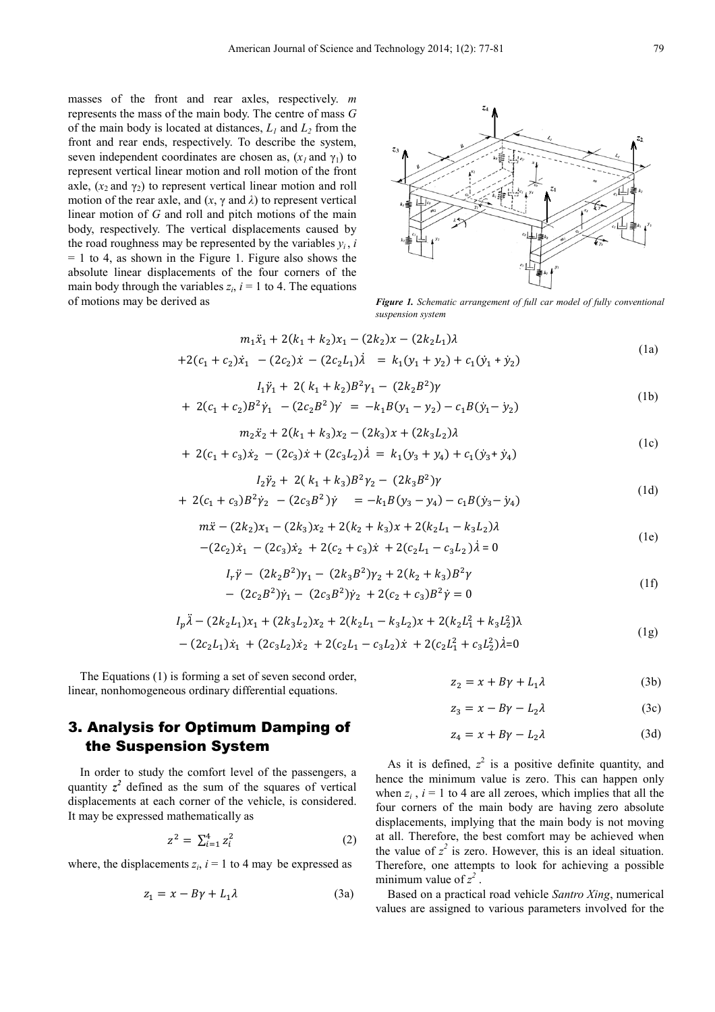masses of the front and rear axles, respectively. *m* represents the mass of the main body. The centre of mass *G* of the main body is located at distances,  $L_1$  and  $L_2$  from the front and rear ends, respectively. To describe the system, seven independent coordinates are chosen as,  $(x_i$  and  $y_i$ ) to represent vertical linear motion and roll motion of the front axle,  $(x_2$  and  $y_2$ ) to represent vertical linear motion and roll motion of the rear axle, and  $(x, \gamma \text{ and } \lambda)$  to represent vertical linear motion of *G* and roll and pitch motions of the main body, respectively. The vertical displacements caused by the road roughness may be represented by the variables  $y_i$ , *i*  $= 1$  to 4, as shown in the Figure 1. Figure also shows the absolute linear displacements of the four corners of the main body through the variables  $z_i$ ,  $i = 1$  to 4. The equations of motions may be derived as *Figure 1. Schematic arrangement of full car model of fully conventional* 



*suspension system* 

$$
m_1\ddot{x}_1 + 2(k_1 + k_2)x_1 - (2k_2)x - (2k_2L_1)\lambda
$$
  
+2(c<sub>1</sub> + c<sub>2</sub>) $\dot{x}_1$  - (2c<sub>2</sub>) $\dot{x}$  - (2c<sub>2</sub>L<sub>1</sub>) $\dot{\lambda}$  = k<sub>1</sub>(y<sub>1</sub> + y<sub>2</sub>) + c<sub>1</sub>(y<sub>1</sub> + y<sub>2</sub>) (1a)

$$
I_1 \ddot{\gamma}_1 + 2(k_1 + k_2)B^2 \gamma_1 - (2k_2 B^2) \gamma
$$
\n(1b)

+ 
$$
2(c_1 + c_2)B^2 \dot{\gamma}_1 - (2c_2B^2)\dot{\gamma} = -k_1B(y_1 - y_2) - c_1B(\dot{y}_1 - \dot{y}_2)
$$
 (10)

$$
m_2\ddot{x}_2 + 2(k_1 + k_3)x_2 - (2k_3)x + (2k_3L_2)\lambda
$$
  
+ 2(c<sub>1</sub> + c<sub>3</sub>) $\dot{x}_2$  - (2c<sub>3</sub>) $\dot{x}$  + (2c<sub>3</sub>L<sub>2</sub>) $\dot{\lambda}$  = k<sub>1</sub>(y<sub>3</sub> + y<sub>4</sub>) + c<sub>1</sub>(y<sub>3</sub> + y<sub>4</sub>) (1c)

$$
I_2 \ddot{\gamma}_2 + 2(k_1 + k_3)B^2 \gamma_2 - (2k_3 B^2) \gamma
$$
  
+ 2(c<sub>1</sub> + c<sub>3</sub>)B<sup>2</sup>  $\dot{\gamma}_2$  - (2c<sub>3</sub>B<sup>2</sup>)  $\dot{\gamma}$  = -k<sub>1</sub>B(y<sub>3</sub> - y<sub>4</sub>) - c<sub>1</sub>B(y<sub>3</sub> - y<sub>4</sub>) (1d)

$$
m\ddot{x} - (2k_2)x_1 - (2k_3)x_2 + 2(k_2 + k_3)x + 2(k_2L_1 - k_3L_2)\lambda
$$
 (1e)

$$
-(2c_2)\dot{x}_1 - (2c_3)\dot{x}_2 + 2(c_2 + c_3)\dot{x} + 2(c_2L_1 - c_3L_2)\dot{\lambda} = 0
$$

$$
I_r \ddot{\gamma} - (2k_2 B^2) \gamma_1 - (2k_3 B^2) \gamma_2 + 2(k_2 + k_3) B^2 \gamma
$$
  
- 
$$
(2c_2 B^2) \dot{\gamma}_1 - (2c_3 B^2) \dot{\gamma}_2 + 2(c_2 + c_3) B^2 \dot{\gamma} = 0
$$
 (1f)

$$
I_p \ddot{\lambda} - (2k_2 L_1)x_1 + (2k_3 L_2)x_2 + 2(k_2 L_1 - k_3 L_2)x + 2(k_2 L_1^2 + k_3 L_2^2)\lambda
$$
  
-  $(2c_2 L_1)\dot{x}_1 + (2c_3 L_2)\dot{x}_2 + 2(c_2 L_1 - c_3 L_2)\dot{x} + 2(c_2 L_1^2 + c_3 L_2^2)\dot{\lambda} = 0$  (1g)

The Equations (1) is forming a set of seven second order, linear, nonhomogeneous ordinary differential equations.

$$
z_2 = x + B\gamma + L_1\lambda \tag{3b}
$$

$$
z_3 = x - B\gamma - L_2\lambda \tag{3c}
$$

$$
z_4 = x + B\gamma - L_2\lambda \tag{3d}
$$

### 3. Analysis for Optimum Damping of the Suspension System

In order to study the comfort level of the passengers, a quantity  $z^2$  defined as the sum of the squares of vertical displacements at each corner of the vehicle, is considered. It may be expressed mathematically as

$$
z^2 = \sum_{i=1}^4 z_i^2 \tag{2}
$$

where, the displacements  $z_i$ ,  $i = 1$  to 4 may be expressed as

$$
z_1 = x - B\gamma + L_1\lambda \tag{3a}
$$

As it is defined,  $z^2$  is a positive definite quantity, and hence the minimum value is zero. This can happen only when  $z_i$ ,  $i = 1$  to 4 are all zeroes, which implies that all the four corners of the main body are having zero absolute displacements, implying that the main body is not moving at all. Therefore, the best comfort may be achieved when the value of  $z^2$  is zero. However, this is an ideal situation. Therefore, one attempts to look for achieving a possible minimum value of  $z^2$ .

Based on a practical road vehicle *Santro Xing*, numerical values are assigned to various parameters involved for the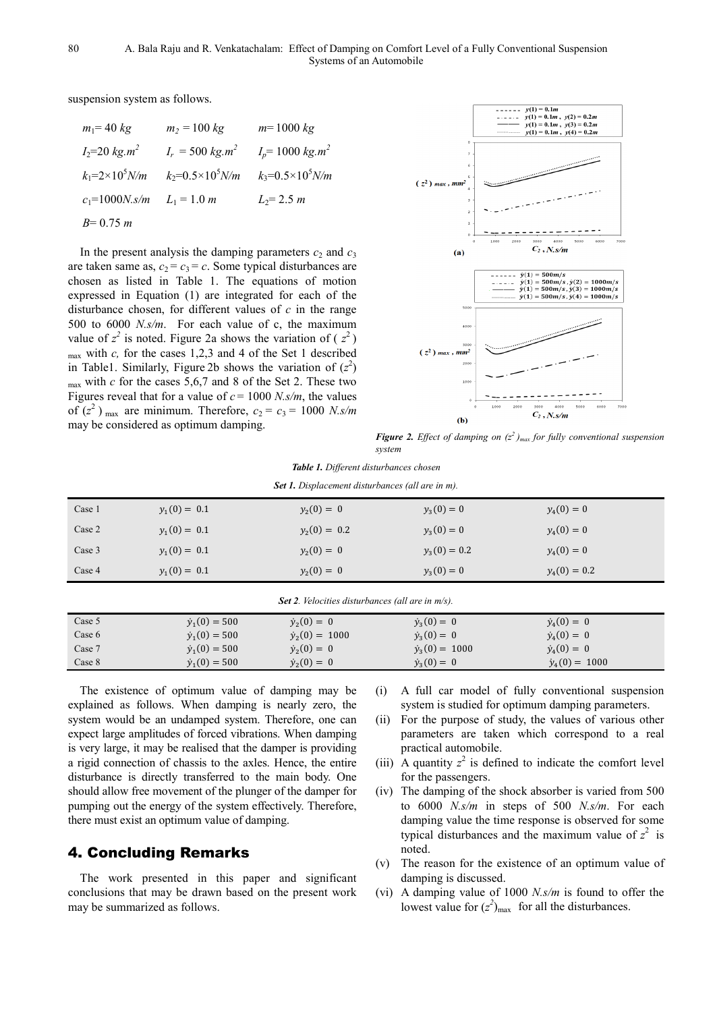suspension system as follows.

| $m_1 = 40 kg$                   | $m_2 = 100 kg$                   | $m = 1000 kg$               |
|---------------------------------|----------------------------------|-----------------------------|
| $I_2 = 20 \text{ kg} \cdot m^2$ | $I_r = 500 \text{ kg} \cdot m^2$ | $I_n = 1000 kg.m^2$         |
| $k_1 = 2 \times 10^5 N/m$       | $k_2 = 0.5 \times 10^5 N/m$      | $k_3 = 0.5 \times 10^5 N/m$ |
| $c_1 = 1000N$ . s/m             | $L_1 = 1.0 m$                    | $L_2 = 2.5$ m               |
| $B=0.75 m$                      |                                  |                             |

In the present analysis the damping parameters  $c_2$  and  $c_3$ are taken same as,  $c_2 = c_3 = c$ . Some typical disturbances are chosen as listed in Table 1. The equations of motion expressed in Equation (1) are integrated for each of the disturbance chosen, for different values of *c* in the range 500 to 6000 *N.s/m*. For each value of c, the maximum value of  $z^2$  is noted. Figure 2a shows the variation of  $(z^2)$ max with *c,* for the cases 1,2,3 and 4 of the Set 1 described in Table1. Similarly, Figure 2b shows the variation of  $(z^2)$ max with *c* for the cases 5,6,7 and 8 of the Set 2. These two Figures reveal that for a value of  $c = 1000$  *N.s/m*, the values of  $(z^2)$  <sub>max</sub> are minimum. Therefore,  $c_2 = c_3 = 1000$  *N.s/m* may be considered as optimum damping.



*Figure 2. Effect of damping on*  $(z^2)$ *max for fully conventional suspension system* 

| <b>Table 1.</b> Different disturbances chosen |  |
|-----------------------------------------------|--|
|-----------------------------------------------|--|

|  |  | <b>Set 1.</b> Displacement disturbances (all are in m). |  |
|--|--|---------------------------------------------------------|--|
|--|--|---------------------------------------------------------|--|

| Case 1 | $y_1(0) = 0.1$ | $y_2(0) = 0$   | $y_3(0) = 0$   | $y_4(0) = 0$   |
|--------|----------------|----------------|----------------|----------------|
| Case 2 | $y_1(0) = 0.1$ | $y_2(0) = 0.2$ | $y_3(0) = 0$   | $y_4(0) = 0$   |
| Case 3 | $y_1(0) = 0.1$ | $y_2(0) = 0$   | $y_3(0) = 0.2$ | $y_4(0) = 0$   |
| Case 4 | $y_1(0) = 0.1$ | $y_2(0) = 0$   | $y_3(0) = 0$   | $y_4(0) = 0.2$ |

| <b>Set 2.</b> Velocities disturbances (all are in $m/s$ ). |                      |                       |                       |                       |  |
|------------------------------------------------------------|----------------------|-----------------------|-----------------------|-----------------------|--|
| Case 5                                                     | $\dot{y}_1(0) = 500$ | $\dot{y}_2(0) = 0$    | $\dot{y}_3(0) = 0$    | $\dot{y}_4(0) = 0$    |  |
| Case 6                                                     | $\dot{y}_1(0) = 500$ | $\dot{y}_2(0) = 1000$ | $\dot{y}_3(0) = 0$    | $\dot{y}_4(0) = 0$    |  |
| Case 7                                                     | $\dot{y}_1(0) = 500$ | $\dot{y}_2(0) = 0$    | $\dot{y}_3(0) = 1000$ | $\dot{y}_4(0) = 0$    |  |
| Case 8                                                     | $\dot{y}_1(0) = 500$ | $\dot{y}_2(0) = 0$    | $\dot{y}_3(0) = 0$    | $\dot{y}_4(0) = 1000$ |  |

The existence of optimum value of damping may be explained as follows. When damping is nearly zero, the system would be an undamped system. Therefore, one can expect large amplitudes of forced vibrations. When damping is very large, it may be realised that the damper is providing a rigid connection of chassis to the axles. Hence, the entire disturbance is directly transferred to the main body. One should allow free movement of the plunger of the damper for pumping out the energy of the system effectively. Therefore, there must exist an optimum value of damping.

### 4. Concluding Remarks

The work presented in this paper and significant conclusions that may be drawn based on the present work may be summarized as follows.

- (i) A full car model of fully conventional suspension system is studied for optimum damping parameters.
- (ii) For the purpose of study, the values of various other parameters are taken which correspond to a real practical automobile.
- (iii) A quantity  $z^2$  is defined to indicate the comfort level for the passengers.
- (iv) The damping of the shock absorber is varied from 500 to 6000 *N.s/m* in steps of 500 *N.s/m*. For each damping value the time response is observed for some typical disturbances and the maximum value of  $z^2$  is noted.
- (v) The reason for the existence of an optimum value of damping is discussed.
- (vi) A damping value of 1000 *N.s/m* is found to offer the lowest value for  $(z^2)_{\text{max}}$  for all the disturbances.